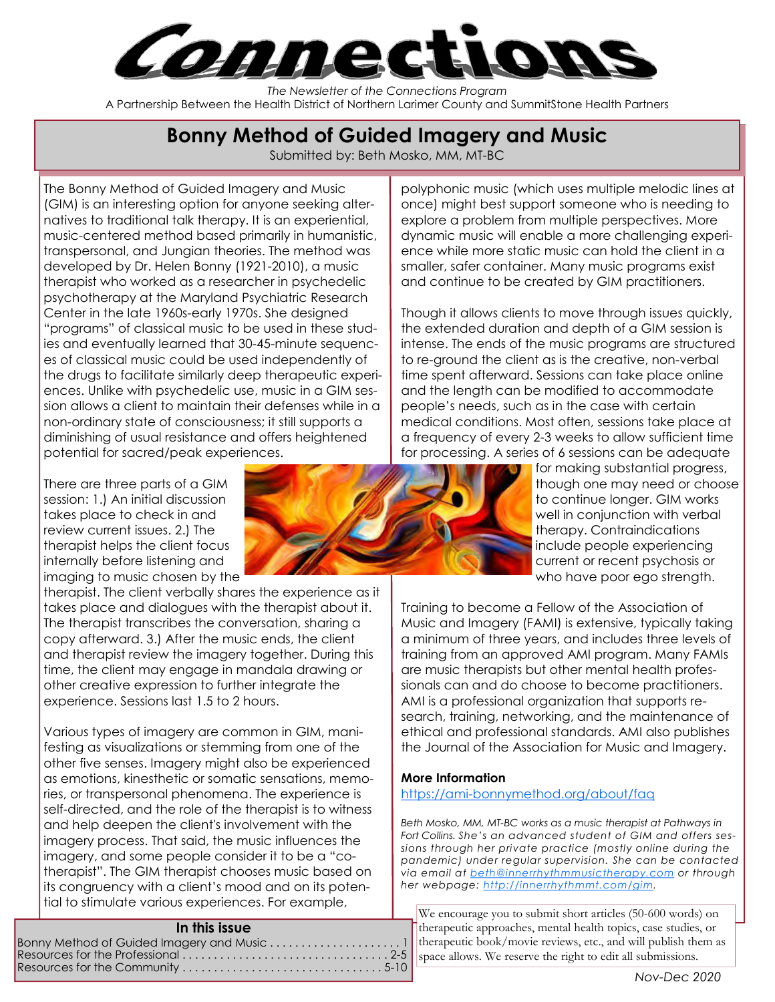

The Newsletter of the Connections Program A Partnership Between the Health District of Northern Larimer County and SummitStone Health Partners

# Bonny Method of Guided Imagery and Music

Submitted by: Beth Mosko, MM, MT-BC

The Bonny Method of Guided Imagery and Music (GIM) is an interesting option for anyone seeking alternatives to traditional talk therapy. It is an experiential, music-centered method based primarily in humanistic, transpersonal, and Jungian theories. The method was developed by Dr. Helen Bonny (1921-2010), a music therapist who worked as a researcher in psychedelic psychotherapy at the Maryland Psychiatric Research Center in the late 1960s-early 1970s. She designed "programs" of classical music to be used in these studies and eventually learned that 30-45-minute sequences of classical music could be used independently of the drugs to facilitate similarly deep therapeutic experiences. Unlike with psychedelic use, music in a GIM session allows a client to maintain their defenses while in a non-ordinary state of consciousness; it still supports a diminishing of usual resistance and offers heightened potential for sacred/peak experiences.

There are three parts of a GIM session: 1.) An initial discussion takes place to check in and review current issues. 2.) The therapist helps the client focus internally before listening and imaging to music chosen by the

therapist. The client verbally shares the experience as it takes place and dialogues with the therapist about it. The therapist transcribes the conversation, sharing a copy afterward. 3.) After the music ends, the client and therapist review the imagery together. During this time, the client may engage in mandala drawing or other creative expression to further integrate the experience. Sessions last 1.5 to 2 hours.

Various types of imagery are common in GIM, manifesting as visualizations or stemming from one of the other five senses. Imagery might also be experienced as emotions, kinesthetic or somatic sensations, memories, or transpersonal phenomena. The experience is self-directed, and the role of the therapist is to witness and help deepen the client's involvement with the imagery process. That said, the music influences the imagery, and some people consider it to be a "cotherapist". The GIM therapist chooses music based on its congruency with a client's mood and on its potential to stimulate various experiences. For example,

#### In this issue

Bonny Method of Guided Imagery and Music . . . . . . . . . . . . . . . . . . . . . 1 Resources for the Professional . . . . . . . . . . . . . . . . . . . . . . . . . . . . . . . . . 2-5 Resources for the Community . . . . . . . . . . . . . . . . . . . . . . . . . . . . . . . . 5-10

polyphonic music (which uses multiple melodic lines at once) might best support someone who is needing to explore a problem from multiple perspectives. More dynamic music will enable a more challenging experience while more static music can hold the client in a smaller, safer container. Many music programs exist and continue to be created by GIM practitioners.

Though it allows clients to move through issues quickly, the extended duration and depth of a GIM session is intense. The ends of the music programs are structured to re-ground the client as is the creative, non-verbal time spent afterward. Sessions can take place online and the length can be modified to accommodate people's needs, such as in the case with certain medical conditions. Most often, sessions take place at a frequency of every 2-3 weeks to allow sufficient time for processing. A series of 6 sessions can be adequate

for making substantial progress, though one may need or choose to continue longer. GIM works well in conjunction with verbal therapy. Contraindications include people experiencing current or recent psychosis or who have poor ego strength.

Training to become a Fellow of the Association of Music and Imagery (FAMI) is extensive, typically taking a minimum of three years, and includes three levels of training from an approved AMI program. Many FAMIs are music therapists but other mental health professionals can and do choose to become practitioners. AMI is a professional organization that supports research, training, networking, and the maintenance of ethical and professional standards. AMI also publishes the Journal of the Association for Music and Imagery.

#### More Information

#### https://ami-bonnymethod.org/about/faq

Beth Mosko, MM, MT-BC works as a music therapist at Pathways in Fort Collins. She's an advanced student of GIM and offers sessions through her private practice (mostly online during the pandemic) under regular supervision. She can be contacted via email at beth@innerrhythmmusictherapy.com or through her webpage: http://innerrhythmmt.com/gim.

We encourage you to submit short articles (50-600 words) on therapeutic approaches, mental health topics, case studies, or therapeutic book/movie reviews, etc., and will publish them as space allows. We reserve the right to edit all submissions.

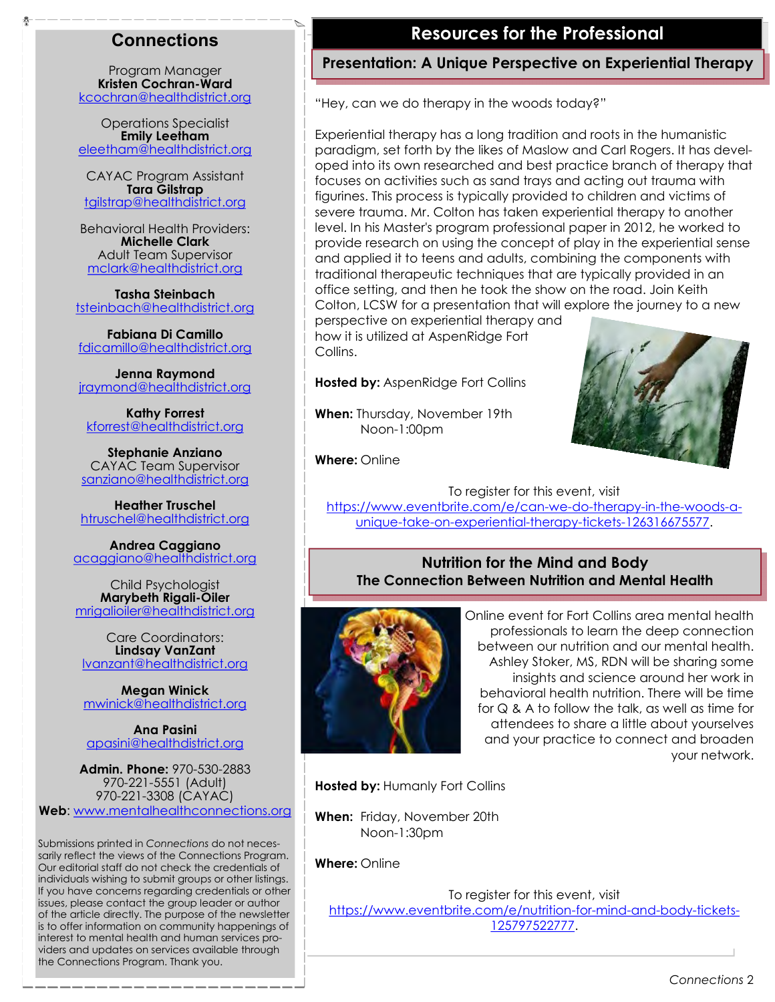### **Connections**

Program Manager Kristen Cochran-Ward kcochran@healthdistrict.org

Operations Specialist Emily Leetham eleetham@healthdistrict.org

CAYAC Program Assistant Tara Gilstrap tgilstrap@healthdistrict.org

Behavioral Health Providers: Michelle Clark Adult Team Supervisor mclark@healthdistrict.org

Tasha Steinbach tsteinbach@healthdistrict.org

Fabiana Di Camillo fdicamillo@healthdistrict.org

Jenna Raymond jraymond@healthdistrict.org

Kathy Forrest kforrest@healthdistrict.org

Stephanie Anziano CAYAC Team Supervisor sanziano@healthdistrict.org

Heather Truschel htruschel@healthdistrict.org

Andrea Caggiano acaggiano@healthdistrict.org

Child Psychologist Marybeth Rigali-Oiler mrigalioiler@healthdistrict.org

Care Coordinators: Lindsay VanZant lvanzant@healthdistrict.org

Megan Winick mwinick@healthdistrict.org

Ana Pasini apasini@healthdistrict.org

Admin. Phone: 970-530-2883 970-221-5551 (Adult) 970-221-3308 (CAYAC) Web: www.mentalhealthconnections.org

Submissions printed in Connections do not necessarily reflect the views of the Connections Program. Our editorial staff do not check the credentials of individuals wishing to submit groups or other listings. If you have concerns regarding credentials or other issues, please contact the group leader or author of the article directly. The purpose of the newsletter is to offer information on community happenings of interest to mental health and human services providers and updates on services available through the Connections Program. Thank you.

### Resources for the Professional

### Presentation: A Unique Perspective on Experiential Therapy

"Hey, can we do therapy in the woods today?"

Experiential therapy has a long tradition and roots in the humanistic paradigm, set forth by the likes of Maslow and Carl Rogers. It has developed into its own researched and best practice branch of therapy that focuses on activities such as sand trays and acting out trauma with figurines. This process is typically provided to children and victims of severe trauma. Mr. Colton has taken experiential therapy to another level. In his Master's program professional paper in 2012, he worked to provide research on using the concept of play in the experiential sense and applied it to teens and adults, combining the components with traditional therapeutic techniques that are typically provided in an office setting, and then he took the show on the road. Join Keith Colton, LCSW for a presentation that will explore the journey to a new

perspective on experiential therapy and how it is utilized at AspenRidge Fort Collins.

Hosted by: AspenRidge Fort Collins

When: Thursday, November 19th Noon-1:00pm



Where: Online

To register for this event, visit https://www.eventbrite.com/e/can-we-do-therapy-in-the-woods-aunique-take-on-experiential-therapy-tickets-126316675577.

#### Nutrition for the Mind and Body The Connection Between Nutrition and Mental Health



Online event for Fort Collins area mental health professionals to learn the deep connection between our nutrition and our mental health. Ashley Stoker, MS, RDN will be sharing some insights and science around her work in behavioral health nutrition. There will be time for Q & A to follow the talk, as well as time for attendees to share a little about yourselves and your practice to connect and broaden your network.

Hosted by: Humanly Fort Collins

When: Friday, November 20th Noon-1:30pm

Where: Online

To register for this event, visit https://www.eventbrite.com/e/nutrition-for-mind-and-body-tickets-125797522777.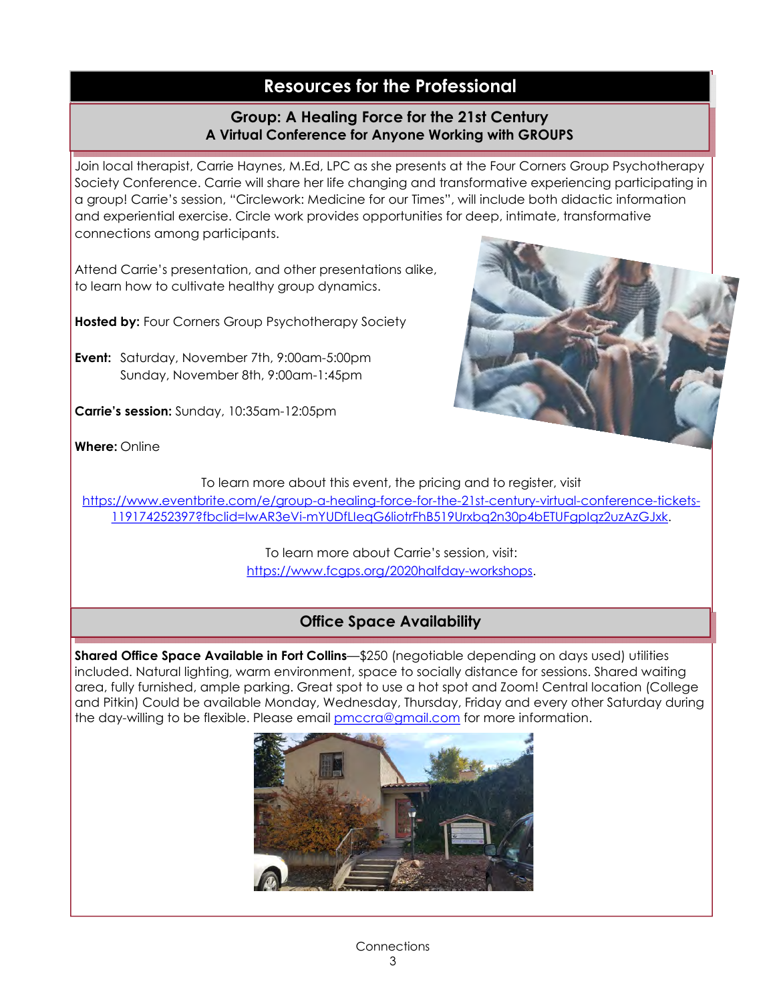# Resources for the Professional

#### Group: A Healing Force for the 21st Century A Virtual Conference for Anyone Working with GROUPS

Join local therapist, Carrie Haynes, M.Ed, LPC as she presents at the Four Corners Group Psychotherapy Society Conference. Carrie will share her life changing and transformative experiencing participating in a group! Carrie's session, "Circlework: Medicine for our Times", will include both didactic information and experiential exercise. Circle work provides opportunities for deep, intimate, transformative connections among participants.

Attend Carrie's presentation, and other presentations alike, to learn how to cultivate healthy group dynamics.

Hosted by: Four Corners Group Psychotherapy Society

Event: Saturday, November 7th, 9:00am-5:00pm Sunday, November 8th, 9:00am-1:45pm

Carrie's session: Sunday, 10:35am-12:05pm



Where: Online

To learn more about this event, the pricing and to register, visit

https://www.eventbrite.com/e/group-a-healing-force-for-the-21st-century-virtual-conference-tickets-119174252397?fbclid=IwAR3eVi-mYUDfLIeqG6liotrFhB519Urxbq2n30p4bETUFgpIqz2uzAzGJxk.

> To learn more about Carrie's session, visit: https://www.fcgps.org/2020halfday-workshops.

### Office Space Availability

Shared Office Space Available in Fort Collins—\$250 (negotiable depending on days used) utilities included. Natural lighting, warm environment, space to socially distance for sessions. Shared waiting area, fully furnished, ample parking. Great spot to use a hot spot and Zoom! Central location (College and Pitkin) Could be available Monday, Wednesday, Thursday, Friday and every other Saturday during the day-willing to be flexible. Please email **pmccra@gmail.com** for more information.

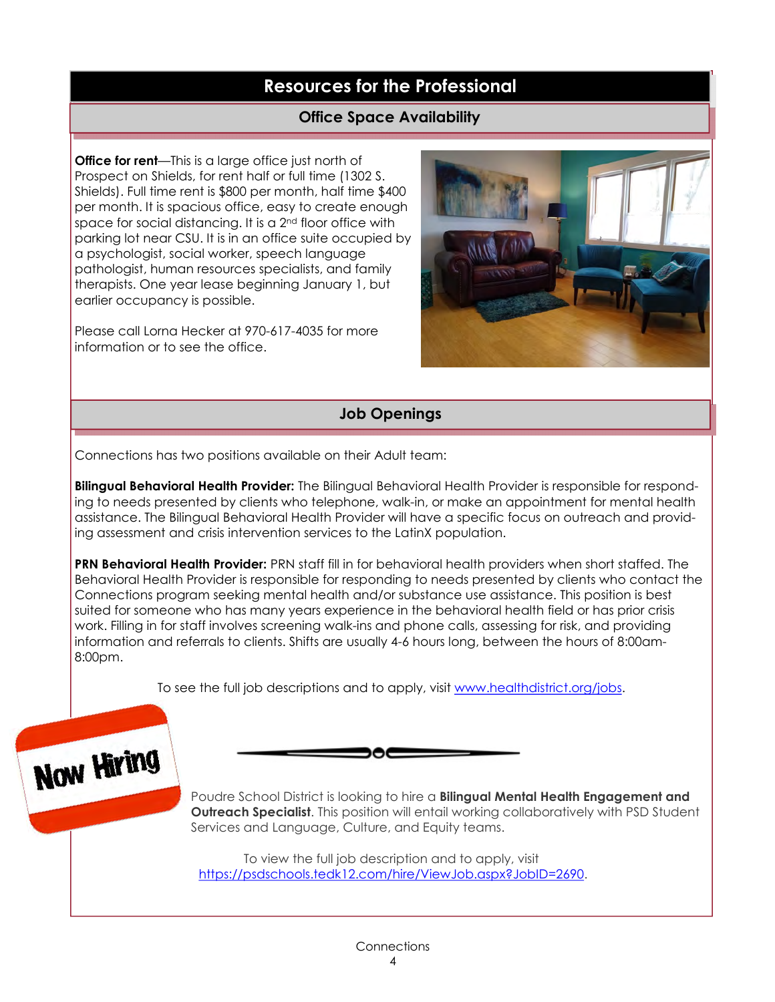# Resources for the Professional

### Office Space Availability

**Office for rent**—This is a large office just north of Prospect on Shields, for rent half or full time (1302 S. Shields). Full time rent is \$800 per month, half time \$400 per month. It is spacious office, easy to create enough space for social distancing. It is a 2<sup>nd</sup> floor office with parking lot near CSU. It is in an office suite occupied by a psychologist, social worker, speech language pathologist, human resources specialists, and family therapists. One year lease beginning January 1, but earlier occupancy is possible.

Please call Lorna Hecker at 970-617-4035 for more information or to see the office.



### Job Openings

Connections has two positions available on their Adult team:

Bilingual Behavioral Health Provider: The Bilingual Behavioral Health Provider is responsible for responding to needs presented by clients who telephone, walk-in, or make an appointment for mental health assistance. The Bilingual Behavioral Health Provider will have a specific focus on outreach and providing assessment and crisis intervention services to the LatinX population.

PRN Behavioral Health Provider: PRN staff fill in for behavioral health providers when short staffed. The Behavioral Health Provider is responsible for responding to needs presented by clients who contact the Connections program seeking mental health and/or substance use assistance. This position is best suited for someone who has many years experience in the behavioral health field or has prior crisis work. Filling in for staff involves screening walk-ins and phone calls, assessing for risk, and providing information and referrals to clients. Shifts are usually 4-6 hours long, between the hours of 8:00am-8:00pm.

To see the full job descriptions and to apply, visit www.healthdistrict.org/jobs.

੶੶



Poudre School District is looking to hire a **Bilingual Mental Health Engagement and Outreach Specialist.** This position will entail working collaboratively with PSD Student Services and Language, Culture, and Equity teams.

To view the full job description and to apply, visit https://psdschools.tedk12.com/hire/ViewJob.aspx?JobID=2690.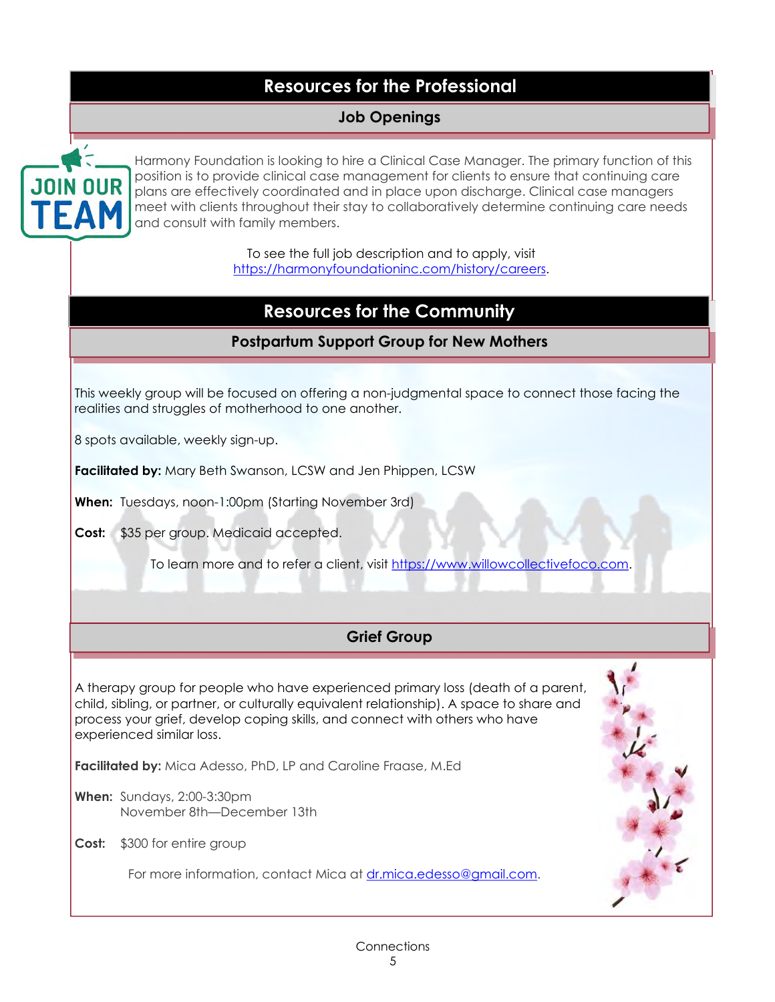# Resources for the Professional

### Job Openings



Harmony Foundation is looking to hire a Clinical Case Manager. The primary function of this position is to provide clinical case management for clients to ensure that continuing care plans are effectively coordinated and in place upon discharge. Clinical case managers meet with clients throughout their stay to collaboratively determine continuing care needs and consult with family members.

> To see the full job description and to apply, visit https://harmonyfoundationinc.com/history/careers.

# Resources for the Community

### Postpartum Support Group for New Mothers

This weekly group will be focused on offering a non-judgmental space to connect those facing the realities and struggles of motherhood to one another.

8 spots available, weekly sign-up.

Facilitated by: Mary Beth Swanson, LCSW and Jen Phippen, LCSW

When: Tuesdays, noon-1:00pm (Starting November 3rd)

Cost: \$35 per group. Medicaid accepted.

To learn more and to refer a client, visit https://www.willowcollectivefoco.com.

### Grief Group

A therapy group for people who have experienced primary loss (death of a parent, child, sibling, or partner, or culturally equivalent relationship). A space to share and process your grief, develop coping skills, and connect with others who have experienced similar loss.

Facilitated by: Mica Adesso, PhD, LP and Caroline Fraase, M.Ed

When: Sundays, 2:00-3:30pm November 8th—December 13th

Cost: \$300 for entire group

For more information, contact Mica at dr.mica.edesso@gmail.com.

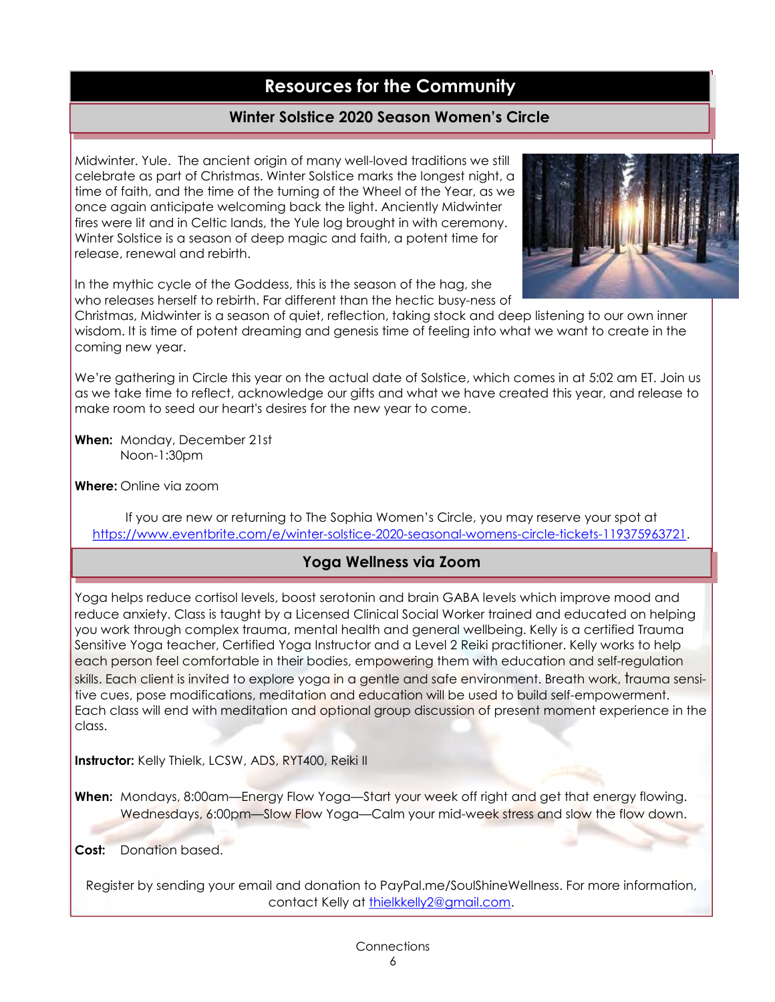#### Winter Solstice 2020 Season Women's Circle

Midwinter. Yule. The ancient origin of many well-loved traditions we still celebrate as part of Christmas. Winter Solstice marks the longest night, a time of faith, and the time of the turning of the Wheel of the Year, as we once again anticipate welcoming back the light. Anciently Midwinter fires were lit and in Celtic lands, the Yule log brought in with ceremony. Winter Solstice is a season of deep magic and faith, a potent time for release, renewal and rebirth.



In the mythic cycle of the Goddess, this is the season of the hag, she who releases herself to rebirth. Far different than the hectic busy-ness of

Christmas, Midwinter is a season of quiet, reflection, taking stock and deep listening to our own inner wisdom. It is time of potent dreaming and genesis time of feeling into what we want to create in the coming new year.

We're gathering in Circle this year on the actual date of Solstice, which comes in at 5:02 am ET. Join us as we take time to reflect, acknowledge our gifts and what we have created this year, and release to make room to seed our heart's desires for the new year to come.

When: Monday, December 21st Noon-1:30pm

Where: Online via zoom

If you are new or returning to The Sophia Women's Circle, you may reserve your spot at https://www.eventbrite.com/e/winter-solstice-2020-seasonal-womens-circle-tickets-119375963721.

#### Yoga Wellness via Zoom

Yoga helps reduce cortisol levels, boost serotonin and brain GABA levels which improve mood and reduce anxiety. Class is taught by a Licensed Clinical Social Worker trained and educated on helping you work through complex trauma, mental health and general wellbeing. Kelly is a certified Trauma Sensitive Yoga teacher, Certified Yoga Instructor and a Level 2 Reiki practitioner. Kelly works to help each person feel comfortable in their bodies, empowering them with education and self-regulation skills. Each client is invited to explore yoga in a gentle and safe environment. Breath work, trauma sensitive cues, pose modifications, meditation and education will be used to build self-empowerment. Each class will end with meditation and optional group discussion of present moment experience in the class.

Instructor: Kelly Thielk, LCSW, ADS, RYT400, Reiki II

When: Mondays, 8:00am—Energy Flow Yoga—Start your week off right and get that energy flowing. Wednesdays, 6:00pm-Slow Flow Yoga-Calm your mid-week stress and slow the flow down.

Cost: Donation based.

Register by sending your email and donation to PayPal.me/SoulShineWellness. For more information, contact Kelly at thielkkelly2@gmail.com.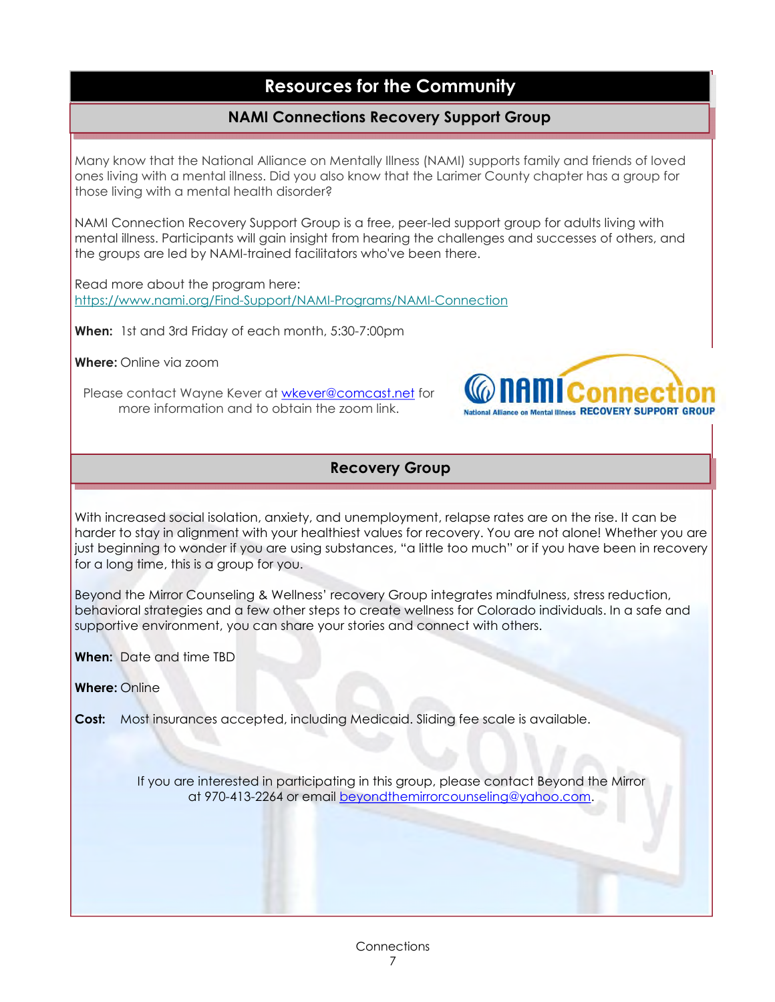### NAMI Connections Recovery Support Group

Many know that the National Alliance on Mentally Illness (NAMI) supports family and friends of loved ones living with a mental illness. Did you also know that the Larimer County chapter has a group for those living with a mental health disorder?

NAMI Connection Recovery Support Group is a free, peer-led support group for adults living with mental illness. Participants will gain insight from hearing the challenges and successes of others, and the groups are led by NAMI-trained facilitators who've been there.

Read more about the program here: https://www.nami.org/Find-Support/NAMI-Programs/NAMI-Connection

When: 1st and 3rd Friday of each month, 5:30-7:00pm

Where: Online via zoom

Please contact Wayne Kever at wkever@comcast.net for more information and to obtain the zoom link.



#### Recovery Group

With increased social isolation, anxiety, and unemployment, relapse rates are on the rise. It can be harder to stay in alignment with your healthiest values for recovery. You are not alone! Whether you are just beginning to wonder if you are using substances, "a little too much" or if you have been in recovery for a long time, this is a group for you.

Beyond the Mirror Counseling & Wellness' recovery Group integrates mindfulness, stress reduction, behavioral strategies and a few other steps to create wellness for Colorado individuals. In a safe and supportive environment, you can share your stories and connect with others.

When: Date and time TBD

Where: Online

Cost: Most insurances accepted, including Medicaid. Sliding fee scale is available.

If you are interested in participating in this group, please contact Beyond the Mirror at 970-413-2264 or email beyondthemirrorcounseling@yahoo.com.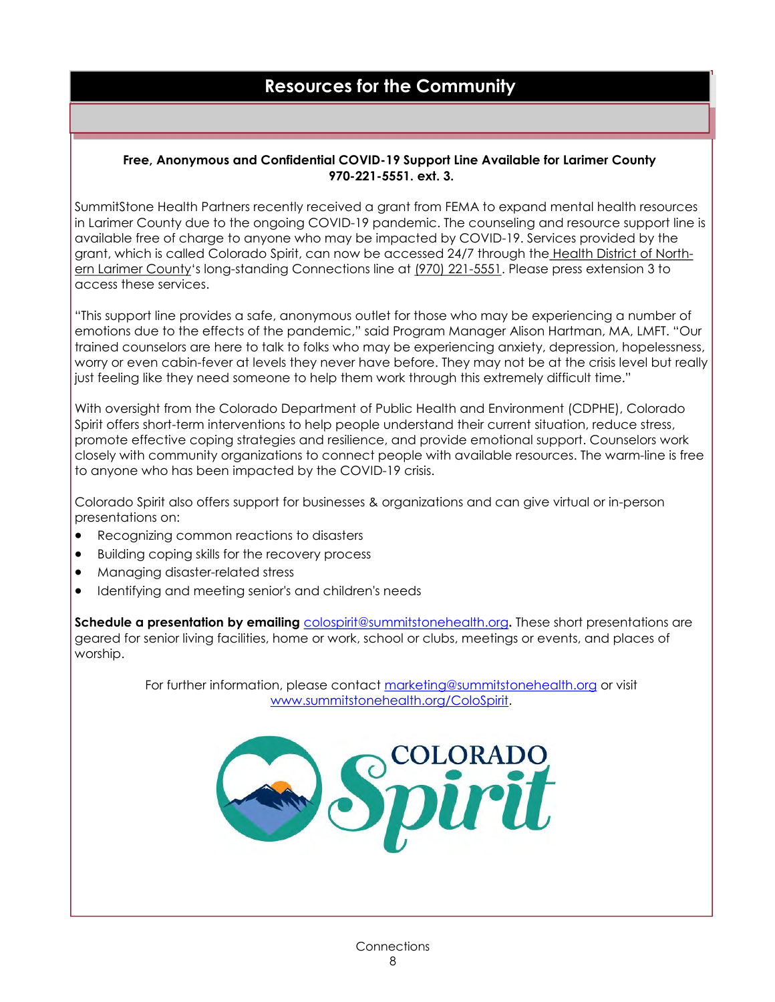#### Free, Anonymous and Confidential COVID-19 Support Line Available for Larimer County 970-221-5551. ext. 3.

SummitStone Health Partners recently received a grant from FEMA to expand mental health resources in Larimer County due to the ongoing COVID-19 pandemic. The counseling and resource support line is available free of charge to anyone who may be impacted by COVID-19. Services provided by the grant, which is called Colorado Spirit, can now be accessed 24/7 through the Health District of Northern Larimer County's long-standing Connections line at (970) 221-5551. Please press extension 3 to access these services.

"This support line provides a safe, anonymous outlet for those who may be experiencing a number of emotions due to the effects of the pandemic," said Program Manager Alison Hartman, MA, LMFT. "Our trained counselors are here to talk to folks who may be experiencing anxiety, depression, hopelessness, worry or even cabin-fever at levels they never have before. They may not be at the crisis level but really just feeling like they need someone to help them work through this extremely difficult time."

With oversight from the Colorado Department of Public Health and Environment (CDPHE), Colorado Spirit offers short-term interventions to help people understand their current situation, reduce stress, promote effective coping strategies and resilience, and provide emotional support. Counselors work closely with community organizations to connect people with available resources. The warm-line is free to anyone who has been impacted by the COVID-19 crisis.

Colorado Spirit also offers support for businesses & organizations and can give virtual or in-person presentations on:

- · Recognizing common reactions to disasters
- · Building coping skills for the recovery process
- · Managing disaster-related stress
- · Identifying and meeting senior's and children's needs

Schedule a presentation by emailing colospirit@summitstonehealth.org. These short presentations are geared for senior living facilities, home or work, school or clubs, meetings or events, and places of worship.

> For further information, please contact marketing@summitstonehealth.org or visit www.summitstonehealth.org/ColoSpirit.

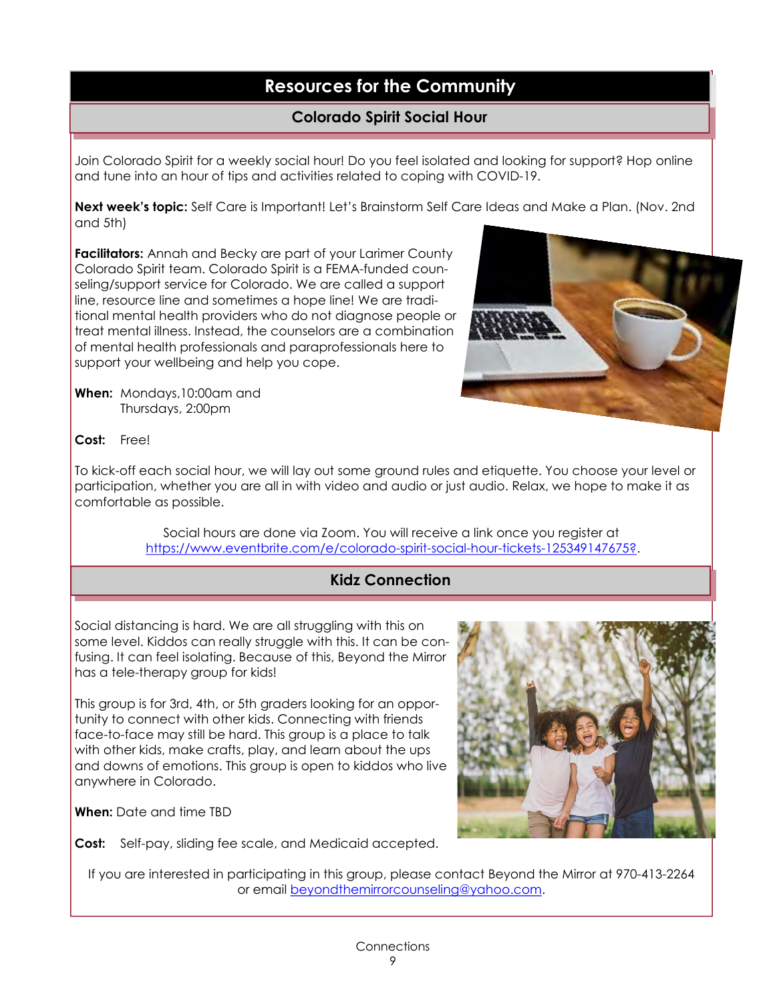### Colorado Spirit Social Hour

Join Colorado Spirit for a weekly social hour! Do you feel isolated and looking for support? Hop online and tune into an hour of tips and activities related to coping with COVID-19.

Next week's topic: Self Care is Important! Let's Brainstorm Self Care Ideas and Make a Plan. (Nov. 2nd and 5th)

Facilitators: Annah and Becky are part of your Larimer County Colorado Spirit team. Colorado Spirit is a FEMA-funded counseling/support service for Colorado. We are called a support line, resource line and sometimes a hope line! We are traditional mental health providers who do not diagnose people or treat mental illness. Instead, the counselors are a combination of mental health professionals and paraprofessionals here to support your wellbeing and help you cope.

When: Mondays, 10:00am and Thursdays, 2:00pm

Cost: Free!

To kick-off each social hour, we will lay out some ground rules and etiquette. You choose your level or participation, whether you are all in with video and audio or just audio. Relax, we hope to make it as comfortable as possible.

> Social hours are done via Zoom. You will receive a link once you register at https://www.eventbrite.com/e/colorado-spirit-social-hour-tickets-125349147675?.

### Kidz Connection

Social distancing is hard. We are all struggling with this on some level. Kiddos can really struggle with this. It can be confusing. It can feel isolating. Because of this, Beyond the Mirror has a tele-therapy group for kids!

This group is for 3rd, 4th, or 5th graders looking for an opportunity to connect with other kids. Connecting with friends face-to-face may still be hard. This group is a place to talk with other kids, make crafts, play, and learn about the ups and downs of emotions. This group is open to kiddos who live anywhere in Colorado.

When: Date and time TBD

Cost: Self-pay, sliding fee scale, and Medicaid accepted.

If you are interested in participating in this group, please contact Beyond the Mirror at 970-413-2264 or email beyondthemirrorcounseling@yahoo.com.